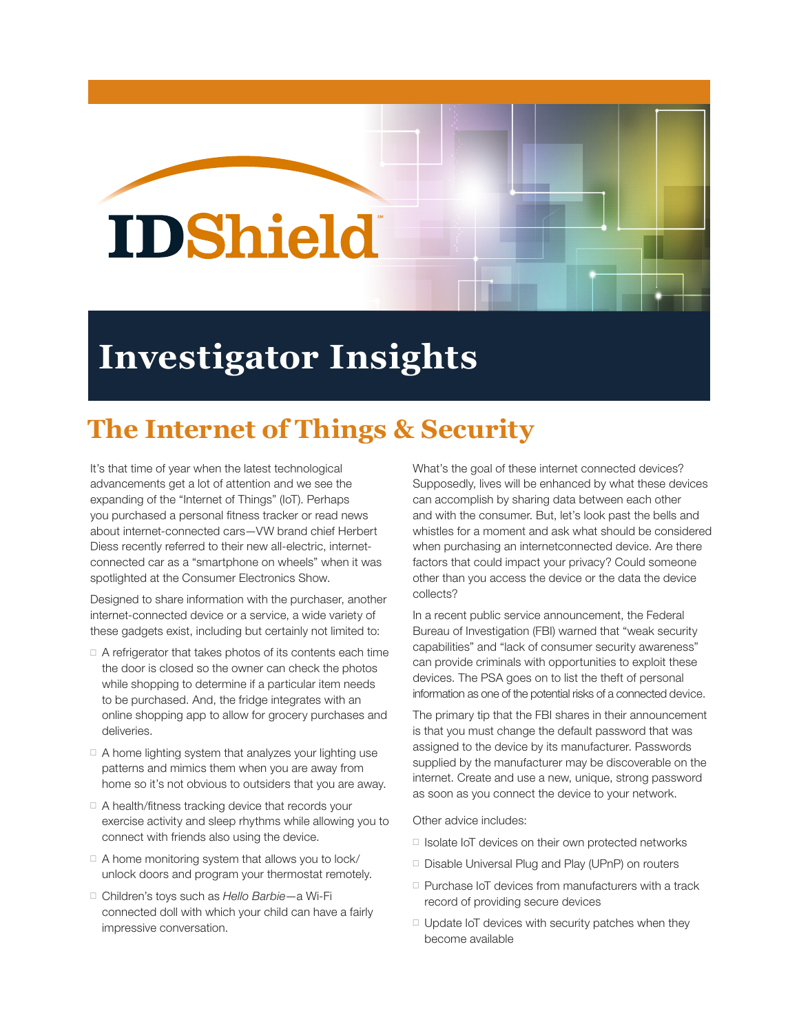## **IDShield**

## **Investigator Insights**

## **The Internet of Things & Security**

It's that time of year when the latest technological advancements get a lot of attention and we see the expanding of the "Internet of Things" (IoT). Perhaps you purchased a personal fitness tracker or read news about internet-connected cars—VW brand chief Herbert Diess recently referred to their new all-electric, internetconnected car as a "smartphone on wheels" when it was spotlighted at the Consumer Electronics Show.

Designed to share information with the purchaser, another internet-connected device or a service, a wide variety of these gadgets exist, including but certainly not limited to:

- $\Box$  A refrigerator that takes photos of its contents each time the door is closed so the owner can check the photos while shopping to determine if a particular item needs to be purchased. And, the fridge integrates with an online shopping app to allow for grocery purchases and deliveries.
- □ A home lighting system that analyzes your lighting use patterns and mimics them when you are away from home so it's not obvious to outsiders that you are away.
- $\Box$  A health/fitness tracking device that records your exercise activity and sleep rhythms while allowing you to connect with friends also using the device.
- $\Box$  A home monitoring system that allows you to lock/ unlock doors and program your thermostat remotely.
- Children's toys such as *Hello Barbie*—a Wi-Fi connected doll with which your child can have a fairly impressive conversation.

What's the goal of these internet connected devices? Supposedly, lives will be enhanced by what these devices can accomplish by sharing data between each other and with the consumer. But, let's look past the bells and whistles for a moment and ask what should be considered when purchasing an internetconnected device. Are there factors that could impact your privacy? Could someone other than you access the device or the data the device collects?

In a recent public service announcement, the Federal Bureau of Investigation (FBI) warned that "weak security capabilities" and "lack of consumer security awareness" can provide criminals with opportunities to exploit these devices. The PSA goes on to list the theft of personal information as one of the potential risks of a connected device.

The primary tip that the FBI shares in their announcement is that you must change the default password that was assigned to the device by its manufacturer. Passwords supplied by the manufacturer may be discoverable on the internet. Create and use a new, unique, strong password as soon as you connect the device to your network.

Other advice includes:

- □ Isolate IoT devices on their own protected networks
- □ Disable Universal Plug and Play (UPnP) on routers
- □ Purchase IoT devices from manufacturers with a track record of providing secure devices
- $\Box$  Update IoT devices with security patches when they become available